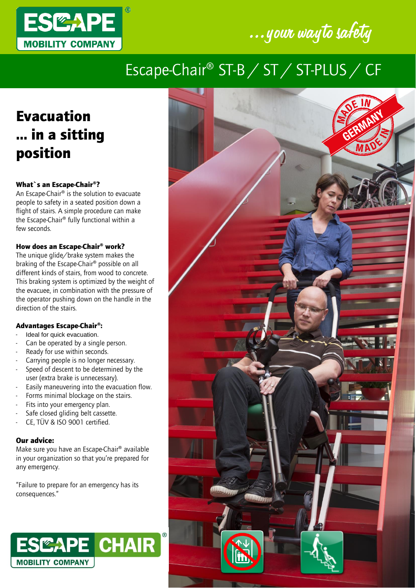



## Escape-Chair® ST-B / ST / ST-PLUS / CF

### Evacuation … in a sitting position

#### What`s an Escape-Chair®?

An Escape-Chair® is the solution to evacuate people to safety in a seated position down a flight of stairs. A simple procedure can make the Escape-Chair® fully functional within a few seconds.

#### How does an Escape-Chair® work?

The unique glide/brake system makes the braking of the Escape-Chair® possible on all different kinds of stairs, from wood to concrete. This braking system is optimized by the weight of the evacuee, in combination with the pressure of the operator pushing down on the handle in the direction of the stairs.

#### Advantages Escape-Chair®:

- Ideal for quick evacuation.
- Can be operated by a single person.
- Ready for use within seconds.
- Carrying people is no longer necessary.
- Speed of descent to be determined by the user (extra brake is unnecessary).
- Easily maneuvering into the evacuation flow.
- Forms minimal blockage on the stairs.
- Fits into your emergency plan.
- Safe closed gliding belt cassette.
- CE, TÜV & ISO 9001 certified.

#### Our advice:

Make sure you have an Escape-Chair® available in your organization so that you're prepared for any emergency.

"Failure to prepare for an emergency has its consequences."